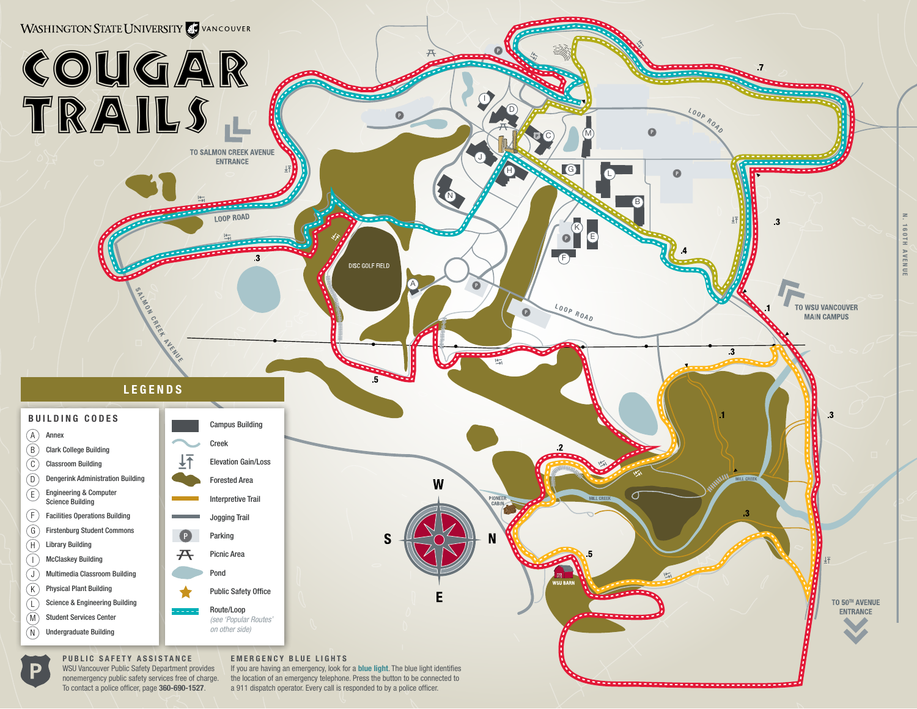

a 911 dispatch operator. Every call is responded to by a police officer.